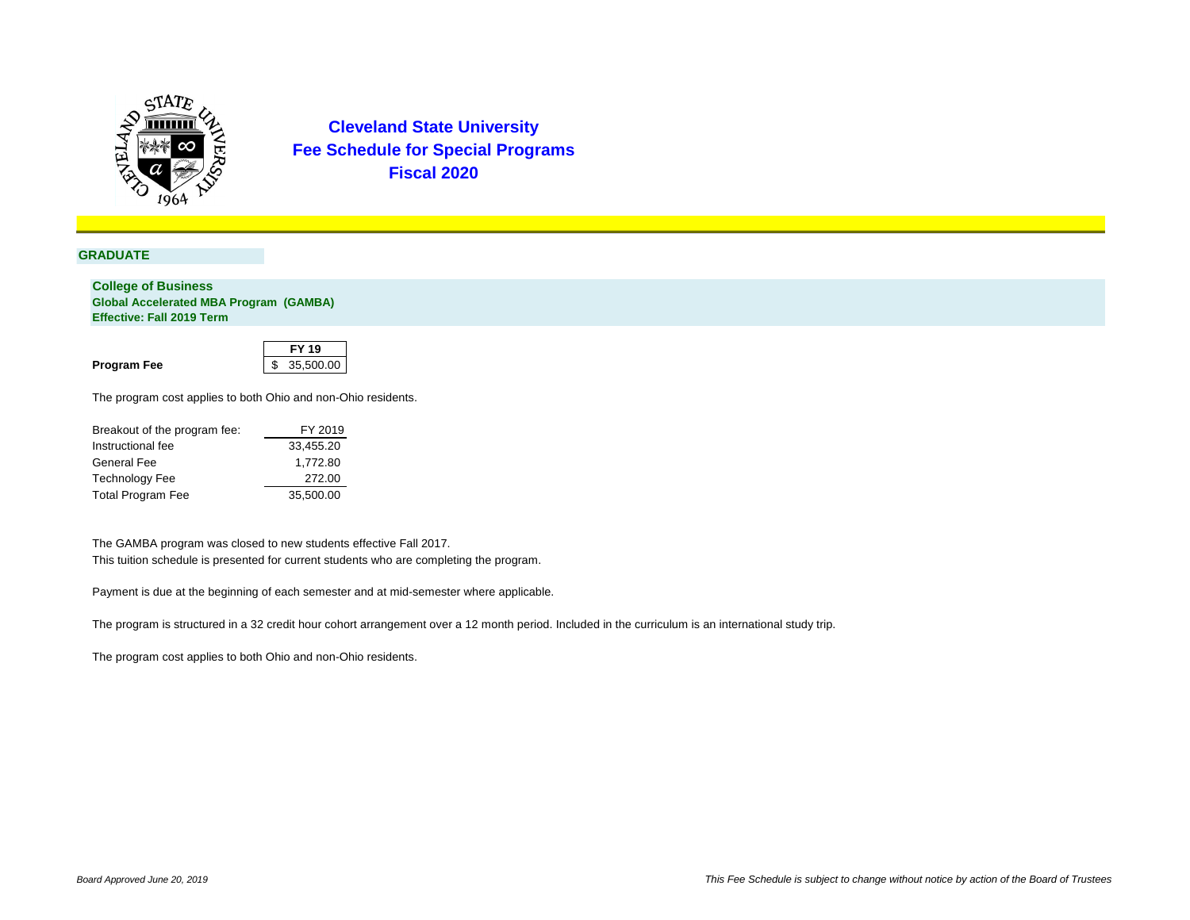

### **GRADUATE**

**College of Business Global Accelerated MBA Program (GAMBA) Effective: Fall 2019 Term**

|                    | <b>FY 19</b> |
|--------------------|--------------|
| <b>Program Fee</b> | \$35,500.00  |

The program cost applies to both Ohio and non-Ohio residents.

| Breakout of the program fee: | FY 2019   |
|------------------------------|-----------|
| Instructional fee            | 33,455.20 |
| <b>General Fee</b>           | 1,772.80  |
| <b>Technology Fee</b>        | 272.00    |
| <b>Total Program Fee</b>     | 35,500.00 |

The GAMBA program was closed to new students effective Fall 2017. This tuition schedule is presented for current students who are completing the program.

Payment is due at the beginning of each semester and at mid-semester where applicable.

The program is structured in a 32 credit hour cohort arrangement over a 12 month period. Included in the curriculum is an international study trip.

The program cost applies to both Ohio and non-Ohio residents.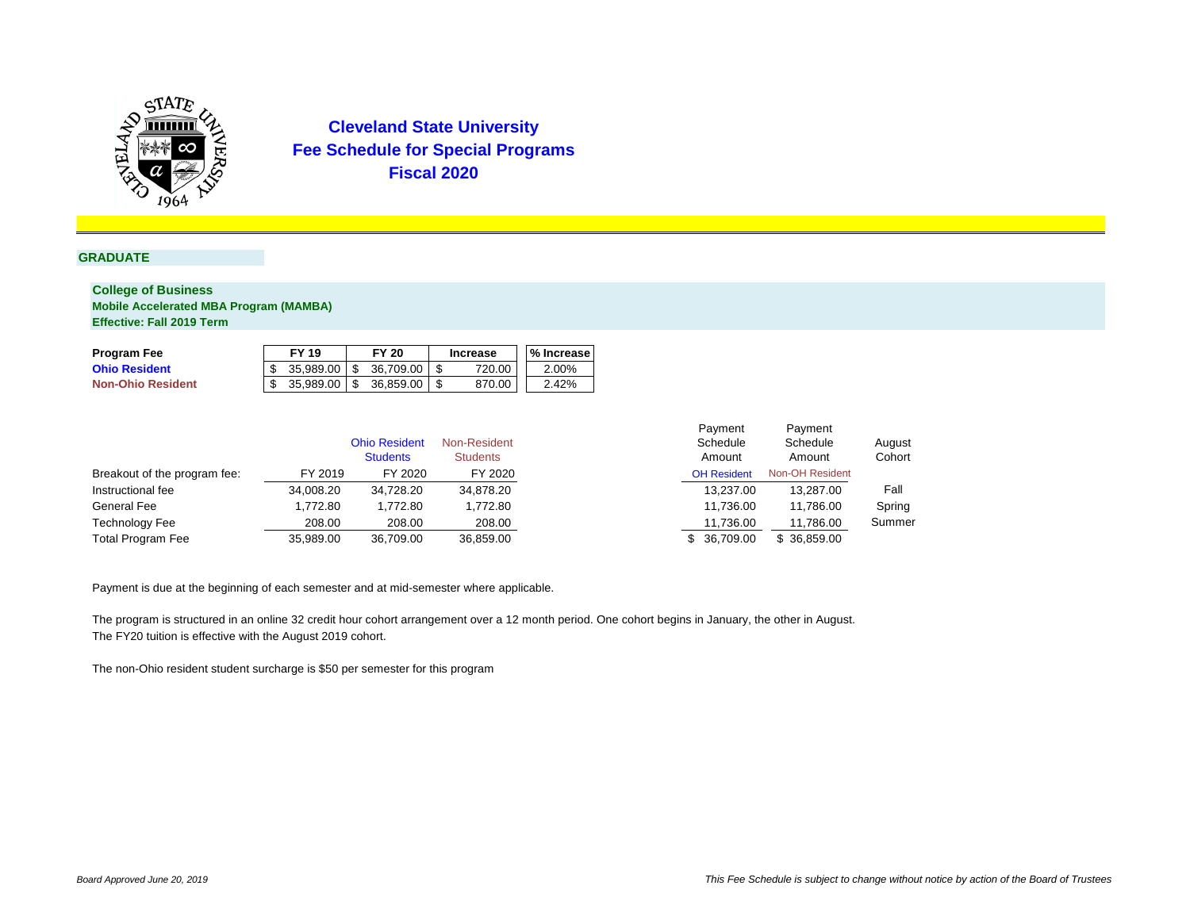

### **GRADUATE**

### **College of Business Mobile Accelerated MBA Program (MAMBA) Effective: Fall 2019 Term**

|                              |           | <b>Ohio Resident</b><br><b>Students</b> | Non-Resident<br><b>Students</b> | Payment<br>Schedule<br>Amount | Payment<br>Schedule<br>Amount | August<br>Cohort |
|------------------------------|-----------|-----------------------------------------|---------------------------------|-------------------------------|-------------------------------|------------------|
| Breakout of the program fee: | FY 2019   | FY 2020                                 | FY 2020                         | <b>OH Resident</b>            | <b>Non-OH Resident</b>        |                  |
| Instructional fee            | 34,008.20 | 34,728.20                               | 34,878.20                       | 13,237.00                     | 13,287.00                     | Fall             |
| <b>General Fee</b>           | 1,772.80  | ,772.80                                 | 1,772.80                        | 11,736.00                     | 11,786.00                     | Spring           |
| <b>Technology Fee</b>        | 208.00    | 208.00                                  | 208.00                          | 11,736.00                     | 11,786.00                     | Summer           |
| <b>Total Program Fee</b>     | 35,989.00 | 36,709.00                               | 36,859.00                       | 36,709.00                     | \$36,859.00                   |                  |

| <b>Program Fee</b>       | <b>FY 19</b> |           | <b>FY 20</b> | <b>Increase</b> | <b>1% Increase</b> |
|--------------------------|--------------|-----------|--------------|-----------------|--------------------|
| <b>Ohio Resident</b>     | 35,989.00    | <b>1S</b> | 36,709.00    | 720.00          | 2.00%              |
| <b>Non-Ohio Resident</b> | 35,989.00    | - \$      | 36,859.00    | 870.00          | 2.42%              |

Payment is due at the beginning of each semester and at mid-semester where applicable.

The program is structured in an online 32 credit hour cohort arrangement over a 12 month period. One cohort begins in January, the other in August. The FY20 tuition is effective with the August 2019 cohort.

The non-Ohio resident student surcharge is \$50 per semester for this program

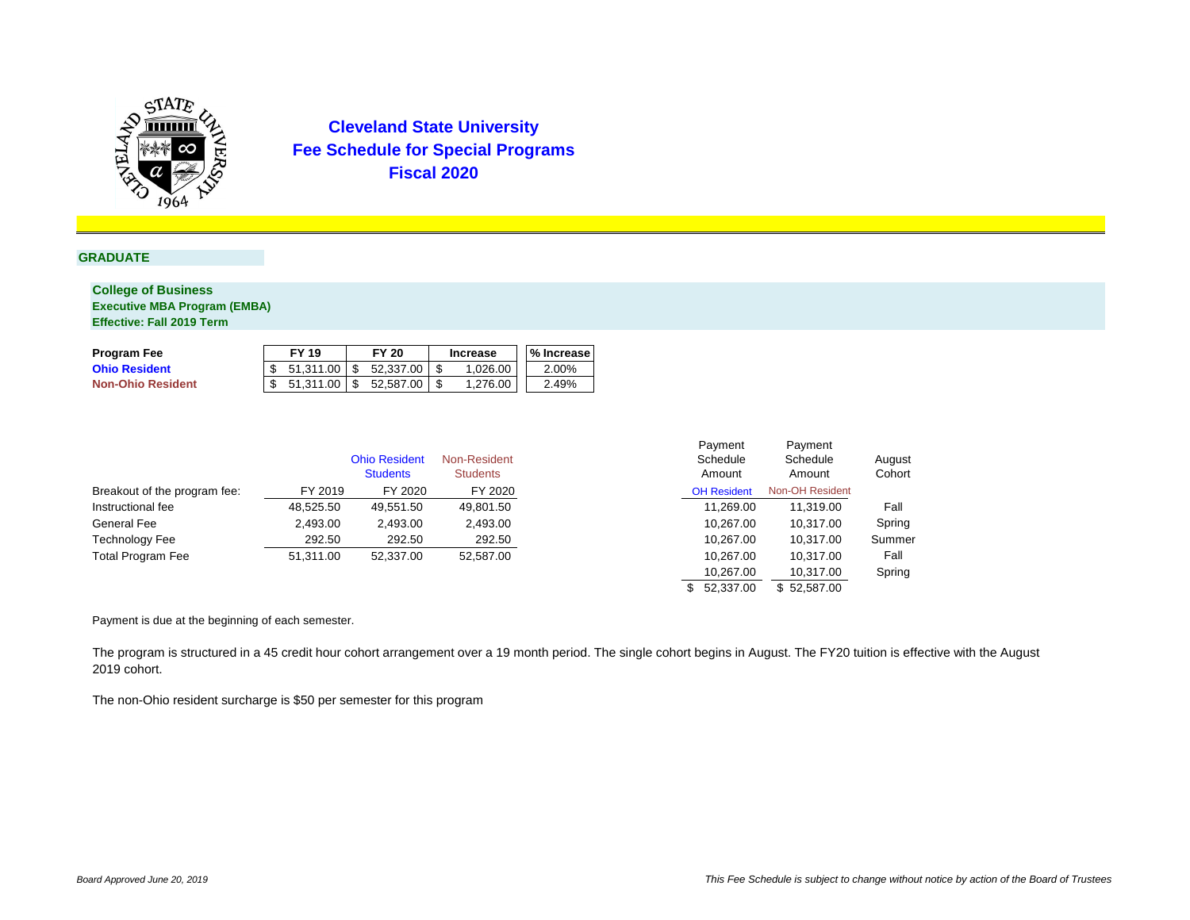

### **GRADUATE**

### **College of Business Executive MBA Program (EMBA) Effective: Fall 2019 Term**

|                              |           | <b>Ohio Resident</b><br><b>Students</b> | Non-Resident<br><b>Students</b> | Payment<br>Schedule<br>Amount | Payment<br>Schedule<br>Amount | August<br>Cohort |
|------------------------------|-----------|-----------------------------------------|---------------------------------|-------------------------------|-------------------------------|------------------|
| Breakout of the program fee: | FY 2019   | FY 2020                                 | FY 2020                         | <b>OH Resident</b>            | <b>Non-OH Resident</b>        |                  |
| Instructional fee            | 48,525.50 | 49,551.50                               | 49,801.50                       | 11,269.00                     | 11,319.00                     | Fall             |
| <b>General Fee</b>           | 2,493.00  | 2,493.00                                | 2,493.00                        | 10,267.00                     | 10,317.00                     | Spring           |
| <b>Technology Fee</b>        | 292.50    | 292.50                                  | 292.50                          | 10,267.00                     | 10,317.00                     | Summer           |
| <b>Total Program Fee</b>     | 51,311.00 | 52,337.00                               | 52,587.00                       | 10,267.00                     | 10,317.00                     | Fall             |
|                              |           |                                         |                                 | 10,267.00                     | 10,317.00                     | Spring           |
|                              |           |                                         |                                 | \$52,337.00                   | \$52,587.00                   |                  |

| <b>Program Fee</b>       | <b>FY 19</b> | <b>FY 20</b> | <b>Increase</b> | <b>'% Increase</b> |
|--------------------------|--------------|--------------|-----------------|--------------------|
| <b>Ohio Resident</b>     | 51,311.00    | 52,337.00    | 1,026.00        | 2.00%              |
| <b>Non-Ohio Resident</b> | 51.311.00    | 52,587.00    | 1,276.00        | 2.49%              |

Payment is due at the beginning of each semester.

The program is structured in a 45 credit hour cohort arrangement over a 19 month period. The single cohort begins in August. The FY20 tuition is effective with the August 2019 cohort.

The non-Ohio resident surcharge is \$50 per semester for this program

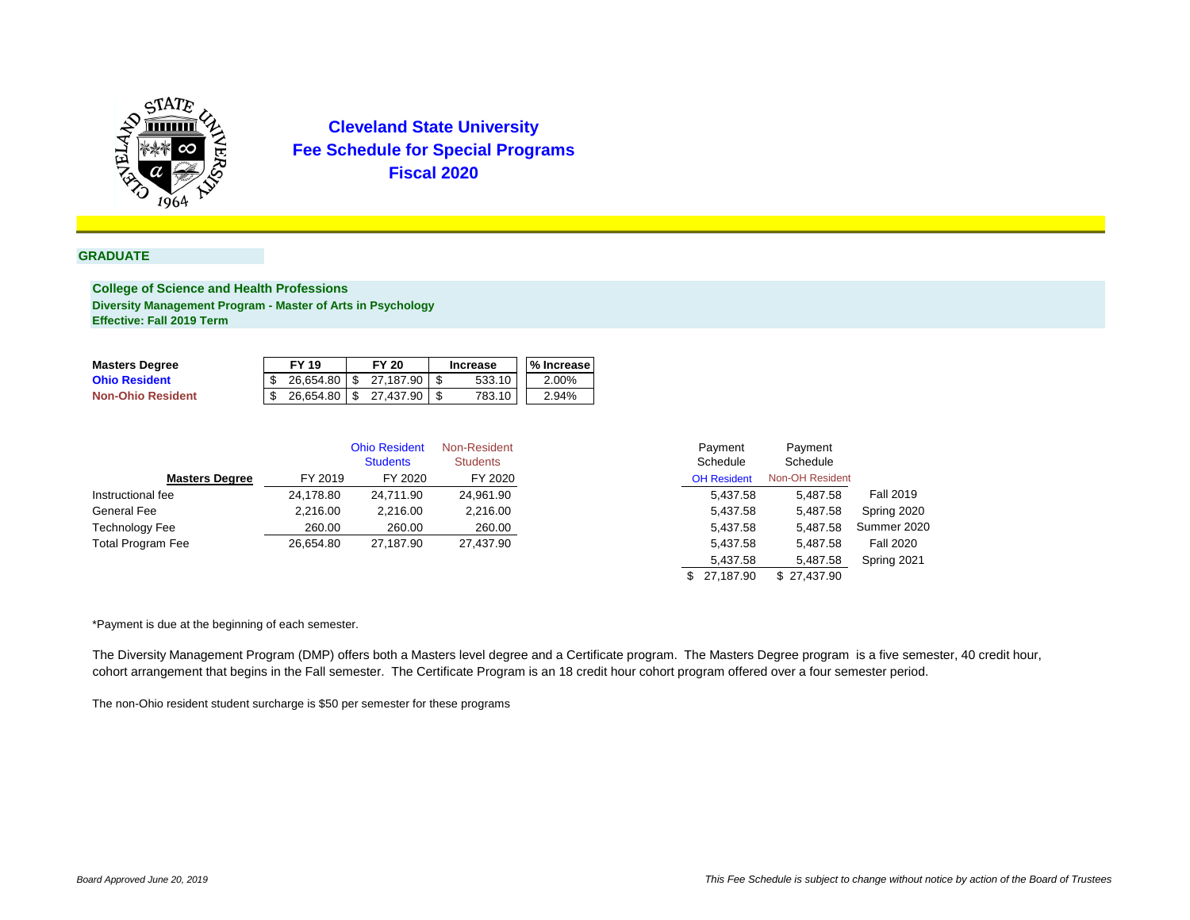

#### **GRADUATE**

**College of Science and Health Professions Diversity Management Program - Master of Arts in Psychology Effective: Fall 2019 Term**

| <b>Masters Degree</b>    | <b>FY 19</b> | <b>FY 20</b> |           | <b>Increase</b> |        |  | <b>% Increase</b> |
|--------------------------|--------------|--------------|-----------|-----------------|--------|--|-------------------|
| <b>Ohio Resident</b>     | 26,654.80    |              | 27,187.90 |                 | 533.10 |  | 2.00%             |
| <b>Non-Ohio Resident</b> | 26,654.80    |              | 27.437.90 |                 | 783.10 |  | 2.94%             |

|                          |           | <b>Ohio Resident</b><br><b>Students</b> | Non-Resident<br><b>Students</b> | Payment<br>Schedule | Payment<br>Schedule    |                  |
|--------------------------|-----------|-----------------------------------------|---------------------------------|---------------------|------------------------|------------------|
| <b>Masters Degree</b>    | FY 2019   | FY 2020                                 | FY 2020                         | <b>OH Resident</b>  | <b>Non-OH Resident</b> |                  |
| Instructional fee        | 24,178.80 | 24,711.90                               | 24,961.90                       | 5,437.58            | 5,487.58               | <b>Fall 2019</b> |
| <b>General Fee</b>       | 2,216.00  | 2,216.00                                | 2,216.00                        | 5,437.58            | 5,487.58               | Spring 2020      |
| <b>Technology Fee</b>    | 260.00    | 260.00                                  | 260.00                          | 5,437.58            | 5,487.58               | Summer 2020      |
| <b>Total Program Fee</b> | 26,654.80 | 27,187.90                               | 27,437.90                       | 5,437.58            | 5,487.58               | <b>Fall 2020</b> |
|                          |           |                                         |                                 | 5,437.58            | 5,487.58               | Spring 2021      |
|                          |           |                                         |                                 | \$27,187.90         | \$27,437.90            |                  |

\*Payment is due at the beginning of each semester.

The Diversity Management Program (DMP) offers both a Masters level degree and a Certificate program. The Masters Degree program is a five semester, 40 credit hour, cohort arrangement that begins in the Fall semester. The Certificate Program is an 18 credit hour cohort program offered over a four semester period.

The non-Ohio resident student surcharge is \$50 per semester for these programs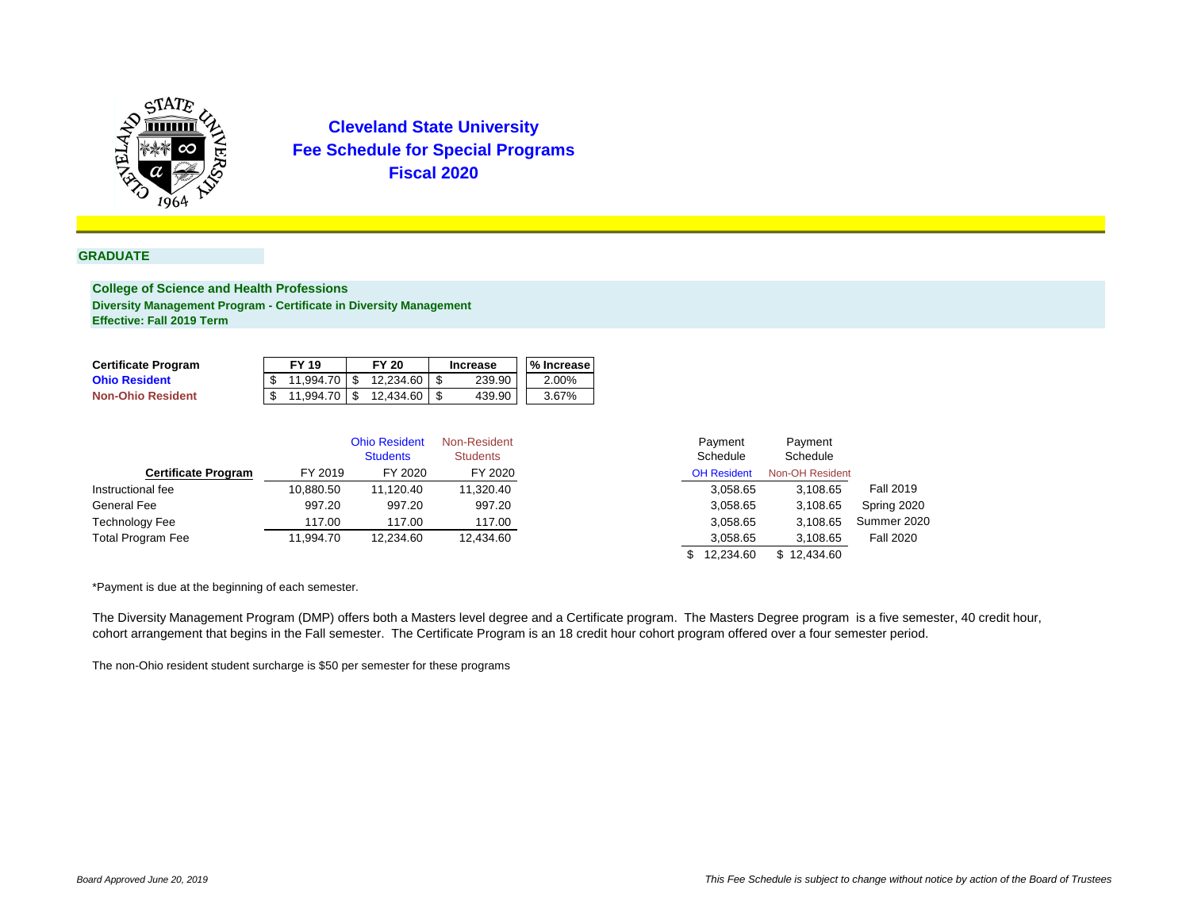

#### **GRADUATE**

**College of Science and Health Professions Diversity Management Program - Certificate in Diversity Management Effective: Fall 2019 Term**

| <b>Certificate Program</b> | <b>FY 19</b> |    | <b>FY 20</b> | <b>Increase</b> | <b>1% Increase</b> |
|----------------------------|--------------|----|--------------|-----------------|--------------------|
| <b>Ohio Resident</b>       | 11,994.70    |    | 12,234.60    | 239.90          | 2.00%              |
| <b>Non-Ohio Resident</b>   | 11,994.70    | -S | 12,434.60    | 439.90          | 3.67%              |

|                            |           | <b>Ohio Resident</b><br><b>Students</b> | Non-Resident<br><b>Students</b> | Payment<br>Schedule | Payment<br>Schedule    |                  |
|----------------------------|-----------|-----------------------------------------|---------------------------------|---------------------|------------------------|------------------|
| <b>Certificate Program</b> | FY 2019   | FY 2020                                 | FY 2020                         | <b>OH Resident</b>  | <b>Non-OH Resident</b> |                  |
| Instructional fee          | 10,880.50 | 11,120.40                               | 11,320.40                       | 3,058.65            | 3,108.65               | <b>Fall 2019</b> |
| <b>General Fee</b>         | 997.20    | 997.20                                  | 997.20                          | 3,058.65            | 3,108.65               | Spring 2020      |
| <b>Technology Fee</b>      | 117.00    | 117.00                                  | 117.00                          | 3,058.65            | 3,108.65               | Summer 2020      |
| <b>Total Program Fee</b>   | 11,994.70 | 12,234.60                               | 12,434.60                       | 3,058.65            | 3,108.65               | <b>Fall 2020</b> |
|                            |           |                                         |                                 | 12,234.60           | \$12,434.60            |                  |

\*Payment is due at the beginning of each semester.

The Diversity Management Program (DMP) offers both a Masters level degree and a Certificate program. The Masters Degree program is a five semester, 40 credit hour, cohort arrangement that begins in the Fall semester. The Certificate Program is an 18 credit hour cohort program offered over a four semester period.

The non-Ohio resident student surcharge is \$50 per semester for these programs

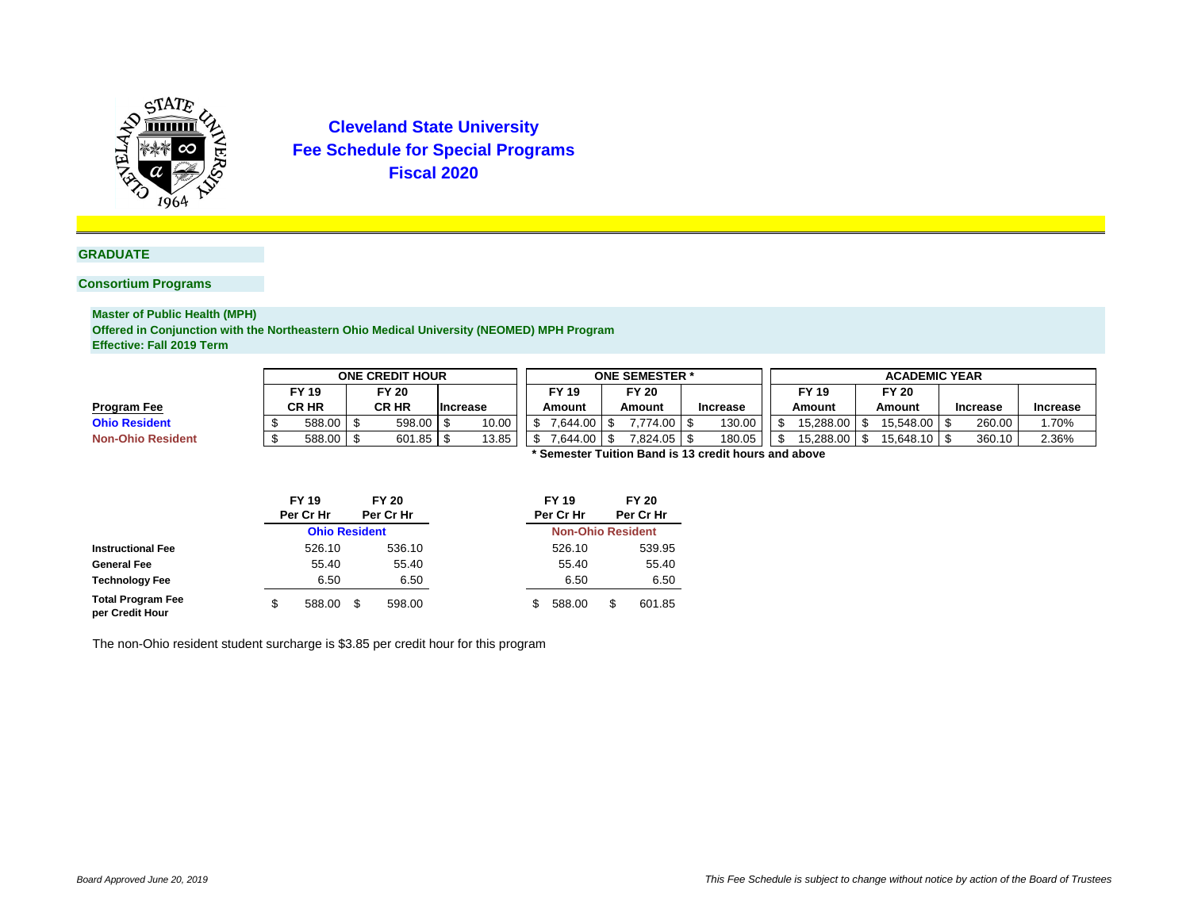

### **GRADUATE**

### **Consortium Programs**

**Master of Public Health (MPH)**

**Offered in Conjunction with the Northeastern Ohio Medical University (NEOMED) MPH Program Effective: Fall 2019 Term**

**\* Semester Tuition Band is 13 credit hours and above**

|                          | <b>ONE CREDIT HOUR</b>                                |              |  |               |  |                 | <b>ONE SEMESTER *</b> |                              |  |                      |  |              | <b>ACADEMIC YEAR</b> |           |              |                 |  |                 |       |  |
|--------------------------|-------------------------------------------------------|--------------|--|---------------|--|-----------------|-----------------------|------------------------------|--|----------------------|--|--------------|----------------------|-----------|--------------|-----------------|--|-----------------|-------|--|
|                          |                                                       | FY 19        |  | <b>FY 20</b>  |  |                 |                       | <b>FY 20</b><br><b>FY 19</b> |  |                      |  | <b>FY 19</b> |                      |           | <b>FY 20</b> |                 |  |                 |       |  |
| <b>Program Fee</b>       |                                                       | <b>CR HR</b> |  | <b>CR HR</b>  |  | <b>Increase</b> |                       | Amount<br>Amount             |  | <b>Increase</b>      |  | Amount       |                      | Amount    |              | <b>Increase</b> |  | <b>Increase</b> |       |  |
| <b>Ohio Resident</b>     |                                                       | 588.00       |  | $598.00$ \ \$ |  | 10.00           |                       | 0.644.00                     |  | 774.00               |  | 130.00       |                      | 15,288.00 |              | 15,548.00       |  | 260.00          | .70%  |  |
| <b>Non-Ohio Resident</b> |                                                       | 588.00       |  |               |  | 13.85           |                       | ا 644.00٪                    |  | $7,824.05$ $\vert$ . |  | 180.05       |                      | 15,288.00 |              | 15,648.10       |  | 360.10          | 2.36% |  |
|                          | * Campater Tuitian Dand in 40 arealit hours and about |              |  |               |  |                 |                       |                              |  |                      |  |              |                      |           |              |                 |  |                 |       |  |

The non-Ohio resident student surcharge is \$3.85 per credit hour for this program

|                                             |   | <b>FY 19</b>         | <b>FY 20</b> |   | <b>FY 19</b>             | <b>FY 20</b> |
|---------------------------------------------|---|----------------------|--------------|---|--------------------------|--------------|
|                                             |   | Per Cr Hr            | Per Cr Hr    |   | Per Cr Hr                | Per Cr Hr    |
|                                             |   | <b>Ohio Resident</b> |              |   | <b>Non-Ohio Resident</b> |              |
| <b>Instructional Fee</b>                    |   | 526.10               | 536.10       |   | 526.10                   | 539.95       |
| <b>General Fee</b>                          |   | 55.40                | 55.40        |   | 55.40                    | 55.40        |
| <b>Technology Fee</b>                       |   | 6.50                 | 6.50         |   | 6.50                     | 6.50         |
| <b>Total Program Fee</b><br>per Credit Hour | S | 588.00               | \$<br>598.00 | S | 588.00                   | \$<br>601.85 |